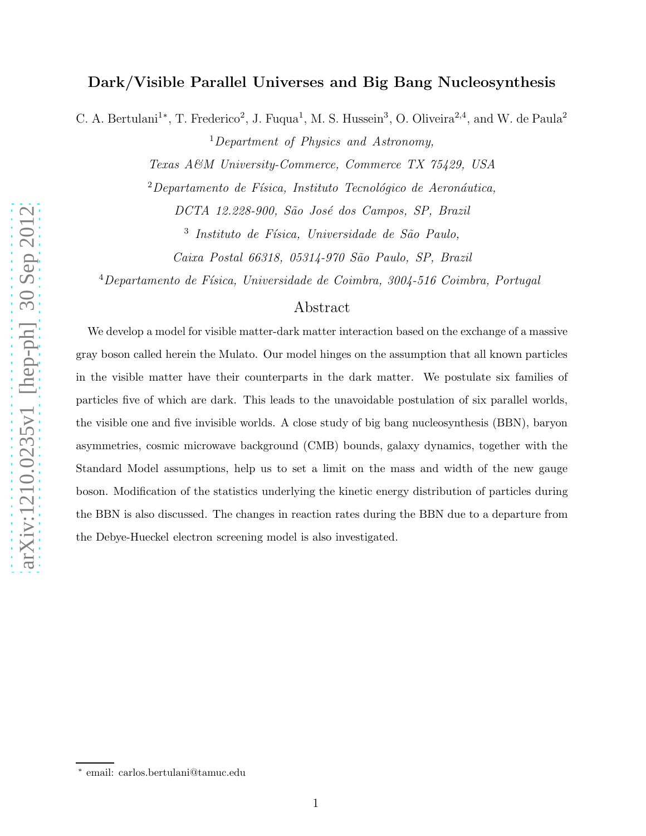# Dark/Visible Parallel Universes and Big Bang Nucleosynthesis

C. A. Bertulani<sup>1\*</sup>, T. Frederico<sup>2</sup>, J. Fuqua<sup>1</sup>, M. S. Hussein<sup>3</sup>, O. Oliveira<sup>2,4</sup>, and W. de Paula<sup>2</sup>

<sup>1</sup>Department of Physics and Astronomy,

Texas A&M University-Commerce, Commerce TX 75429, USA

 $2$ Departamento de Física, Instituto Tecnológico de Aeronáutica, DCTA 12.228-900, São José dos Campos, SP, Brazil

<sup>3</sup> Instituto de Física, Universidade de São Paulo,

Caixa Postal 66318, 05314-970 São Paulo, SP, Brazil

 $^{4}$ Departamento de Física, Universidade de Coimbra, 3004-516 Coimbra, Portugal

## Abstract

We develop a model for visible matter-dark matter interaction based on the exchange of a massive gray boson called herein the Mulato. Our model hinges on the assumption that all known particles in the visible matter have their counterparts in the dark matter. We postulate six families of particles five of which are dark. This leads to the unavoidable postulation of six parallel worlds, the visible one and five invisible worlds. A close study of big bang nucleosynthesis (BBN), baryon asymmetries, cosmic microwave background (CMB) bounds, galaxy dynamics, together with the Standard Model assumptions, help us to set a limit on the mass and width of the new gauge boson. Modification of the statistics underlying the kinetic energy distribution of particles during the BBN is also discussed. The changes in reaction rates during the BBN due to a departure from the Debye-Hueckel electron screening model is also investigated.

<sup>∗</sup> email: carlos.bertulani@tamuc.edu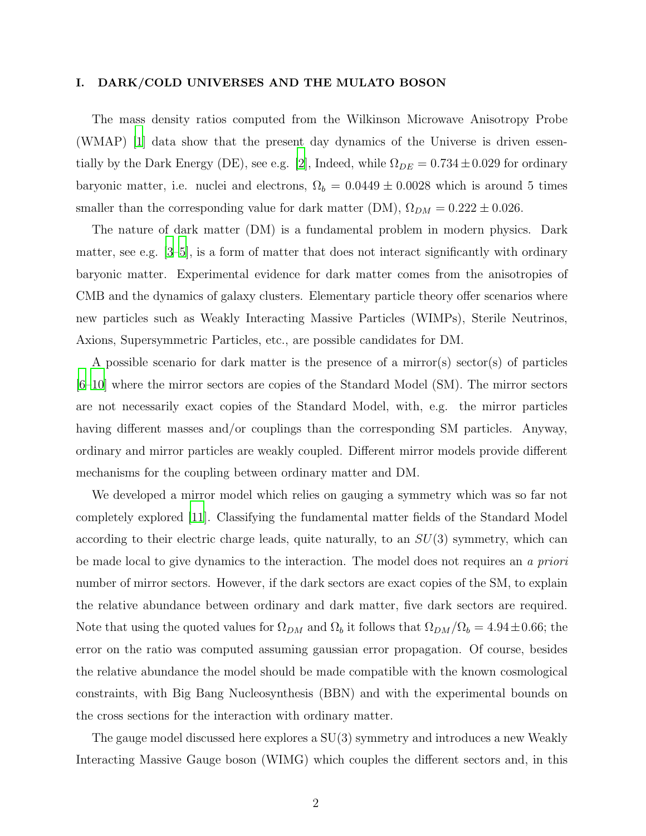#### I. DARK/COLD UNIVERSES AND THE MULATO BOSON

The mass density ratios computed from the Wilkinson Microwave Anisotropy Probe (WMAP) [\[1](#page-10-0)] data show that the present day dynamics of the Universe is driven essen-tially by the Dark Energy (DE), see e.g. [\[2\]](#page-10-1), Indeed, while  $\Omega_{DE} = 0.734 \pm 0.029$  for ordinary baryonic matter, i.e. nuclei and electrons,  $\Omega_b = 0.0449 \pm 0.0028$  which is around 5 times smaller than the corresponding value for dark matter (DM),  $\Omega_{DM} = 0.222 \pm 0.026$ .

The nature of dark matter (DM) is a fundamental problem in modern physics. Dark matter, see e.g.  $[3-5]$ , is a form of matter that does not interact significantly with ordinary baryonic matter. Experimental evidence for dark matter comes from the anisotropies of CMB and the dynamics of galaxy clusters. Elementary particle theory offer scenarios where new particles such as Weakly Interacting Massive Particles (WIMPs), Sterile Neutrinos, Axions, Supersymmetric Particles, etc., are possible candidates for DM.

A possible scenario for dark matter is the presence of a mirror(s) sector(s) of particles [\[6](#page-10-4)[–10\]](#page-11-0) where the mirror sectors are copies of the Standard Model (SM). The mirror sectors are not necessarily exact copies of the Standard Model, with, e.g. the mirror particles having different masses and/or couplings than the corresponding SM particles. Anyway, ordinary and mirror particles are weakly coupled. Different mirror models provide different mechanisms for the coupling between ordinary matter and DM.

We developed a mirror model which relies on gauging a symmetry which was so far not completely explored [\[11](#page-11-1)]. Classifying the fundamental matter fields of the Standard Model according to their electric charge leads, quite naturally, to an  $SU(3)$  symmetry, which can be made local to give dynamics to the interaction. The model does not requires an a priori number of mirror sectors. However, if the dark sectors are exact copies of the SM, to explain the relative abundance between ordinary and dark matter, five dark sectors are required. Note that using the quoted values for  $\Omega_{DM}$  and  $\Omega_b$  it follows that  $\Omega_{DM}/\Omega_b = 4.94 \pm 0.66$ ; the error on the ratio was computed assuming gaussian error propagation. Of course, besides the relative abundance the model should be made compatible with the known cosmological constraints, with Big Bang Nucleosynthesis (BBN) and with the experimental bounds on the cross sections for the interaction with ordinary matter.

The gauge model discussed here explores a SU(3) symmetry and introduces a new Weakly Interacting Massive Gauge boson (WIMG) which couples the different sectors and, in this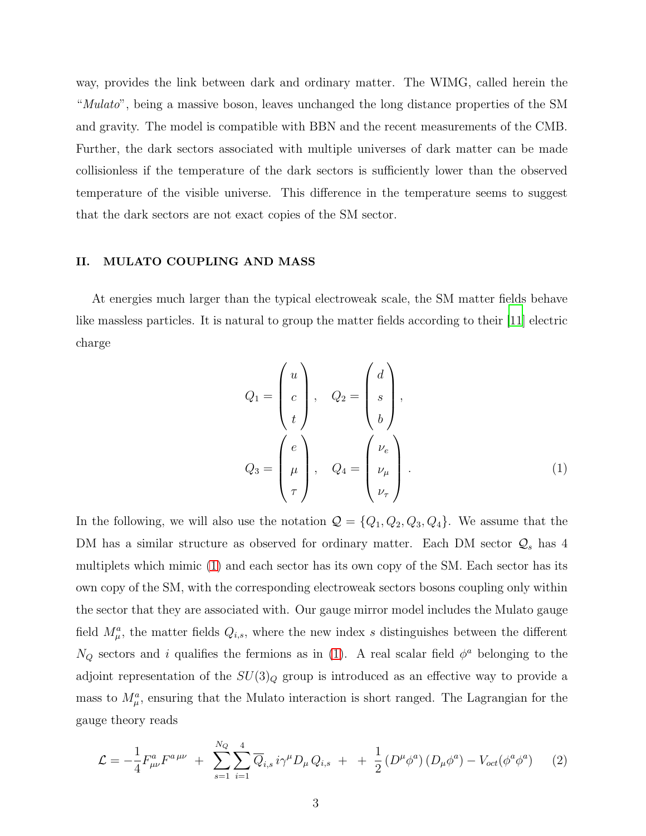way, provides the link between dark and ordinary matter. The WIMG, called herein the "*Mulato*", being a massive boson, leaves unchanged the long distance properties of the SM and gravity. The model is compatible with BBN and the recent measurements of the CMB. Further, the dark sectors associated with multiple universes of dark matter can be made collisionless if the temperature of the dark sectors is sufficiently lower than the observed temperature of the visible universe. This difference in the temperature seems to suggest that the dark sectors are not exact copies of the SM sector.

#### II. MULATO COUPLING AND MASS

At energies much larger than the typical electroweak scale, the SM matter fields behave like massless particles. It is natural to group the matter fields according to their [\[11](#page-11-1)] electric charge

<span id="page-2-0"></span>
$$
Q_1 = \begin{pmatrix} u \\ c \\ t \end{pmatrix}, \quad Q_2 = \begin{pmatrix} d \\ s \\ b \end{pmatrix},
$$
  

$$
Q_3 = \begin{pmatrix} e \\ \mu \\ \tau \end{pmatrix}, \quad Q_4 = \begin{pmatrix} \nu_e \\ \nu_\mu \\ \nu_\tau \end{pmatrix}.
$$
 (1)

In the following, we will also use the notation  $\mathcal{Q} = \{Q_1, Q_2, Q_3, Q_4\}$ . We assume that the DM has a similar structure as observed for ordinary matter. Each DM sector  $\mathcal{Q}_s$  has 4 multiplets which mimic [\(1\)](#page-2-0) and each sector has its own copy of the SM. Each sector has its own copy of the SM, with the corresponding electroweak sectors bosons coupling only within the sector that they are associated with. Our gauge mirror model includes the Mulato gauge field  $M^a_\mu$ , the matter fields  $Q_{i,s}$ , where the new index s distinguishes between the different  $N_Q$  sectors and i qualifies the fermions as in [\(1\)](#page-2-0). A real scalar field  $\phi^a$  belonging to the adjoint representation of the  $SU(3)<sub>Q</sub>$  group is introduced as an effective way to provide a mass to  $M^a_\mu$ , ensuring that the Mulato interaction is short ranged. The Lagrangian for the gauge theory reads

<span id="page-2-1"></span>
$$
\mathcal{L} = -\frac{1}{4} F_{\mu\nu}^a F^{a\,\mu\nu} + \sum_{s=1}^{N_Q} \sum_{i=1}^4 \overline{Q}_{i,s} \, i\gamma^\mu D_\mu Q_{i,s} + + \frac{1}{2} \left( D^\mu \phi^a \right) \left( D_\mu \phi^a \right) - V_{oct} (\phi^a \phi^a) \tag{2}
$$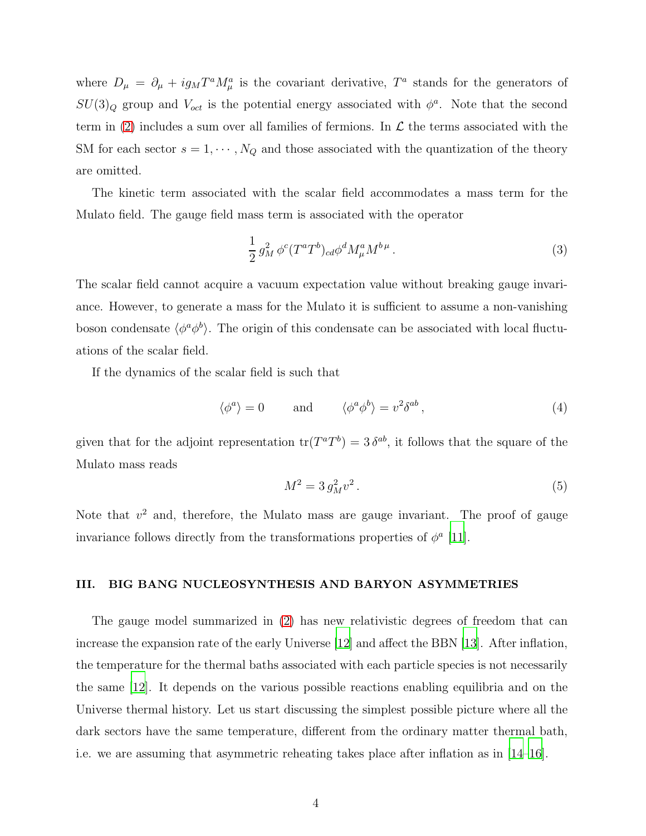where  $D_{\mu} = \partial_{\mu} + ig_M T^a M^a_{\mu}$  is the covariant derivative,  $T^a$  stands for the generators of  $SU(3)_Q$  group and  $V_{oct}$  is the potential energy associated with  $\phi^a$ . Note that the second term in [\(2\)](#page-2-1) includes a sum over all families of fermions. In  $\mathcal L$  the terms associated with the SM for each sector  $s = 1, \dots, N_Q$  and those associated with the quantization of the theory are omitted.

The kinetic term associated with the scalar field accommodates a mass term for the Mulato field. The gauge field mass term is associated with the operator

$$
\frac{1}{2}g_M^2 \phi^c (T^a T^b)_{cd} \phi^d M^a_\mu M^{b\,\mu} \,. \tag{3}
$$

The scalar field cannot acquire a vacuum expectation value without breaking gauge invariance. However, to generate a mass for the Mulato it is sufficient to assume a non-vanishing boson condensate  $\langle \phi^a \phi^b \rangle$ . The origin of this condensate can be associated with local fluctuations of the scalar field.

If the dynamics of the scalar field is such that

$$
\langle \phi^a \rangle = 0 \quad \text{and} \quad \langle \phi^a \phi^b \rangle = v^2 \delta^{ab} \,, \tag{4}
$$

given that for the adjoint representation  $tr(T^aT^b) = 3 \delta^{ab}$ , it follows that the square of the Mulato mass reads

$$
M^2 = 3 g_M^2 v^2 \,. \tag{5}
$$

Note that  $v^2$  and, therefore, the Mulato mass are gauge invariant. The proof of gauge invariance follows directly from the transformations properties of  $\phi^a$  [\[11\]](#page-11-1).

#### III. BIG BANG NUCLEOSYNTHESIS AND BARYON ASYMMETRIES

The gauge model summarized in [\(2\)](#page-2-1) has new relativistic degrees of freedom that can increase the expansion rate of the early Universe [\[12\]](#page-11-2) and affect the BBN [\[13\]](#page-11-3). After inflation, the temperature for the thermal baths associated with each particle species is not necessarily the same [\[12\]](#page-11-2). It depends on the various possible reactions enabling equilibria and on the Universe thermal history. Let us start discussing the simplest possible picture where all the dark sectors have the same temperature, different from the ordinary matter thermal bath, i.e. we are assuming that asymmetric reheating takes place after inflation as in [\[14](#page-11-4)[–16\]](#page-11-5).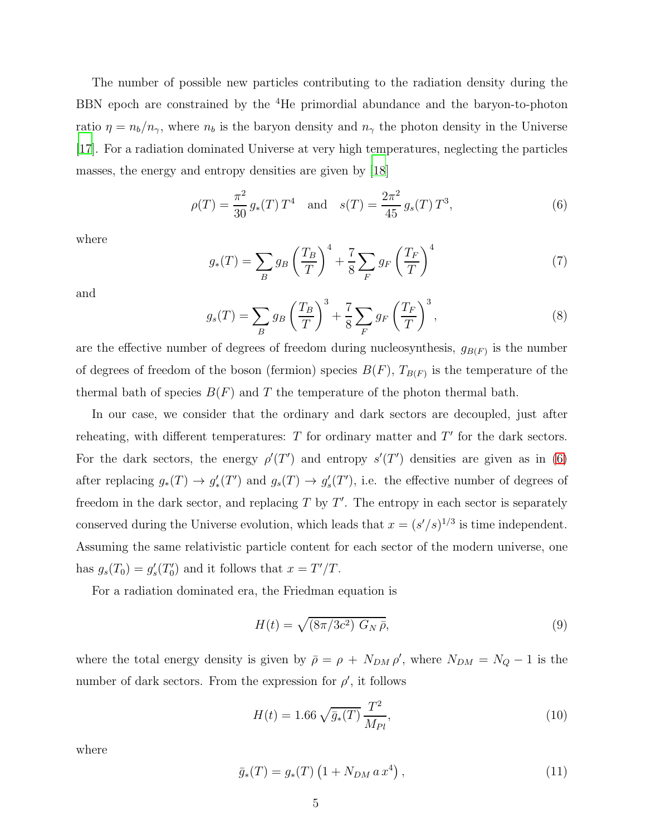The number of possible new particles contributing to the radiation density during the BBN epoch are constrained by the <sup>4</sup>He primordial abundance and the baryon-to-photon ratio  $\eta = n_b/n_\gamma$ , where  $n_b$  is the baryon density and  $n_\gamma$  the photon density in the Universe [\[17\]](#page-11-6). For a radiation dominated Universe at very high temperatures, neglecting the particles masses, the energy and entropy densities are given by [\[18\]](#page-11-7)

<span id="page-4-0"></span>
$$
\rho(T) = \frac{\pi^2}{30} g_*(T) T^4 \quad \text{and} \quad s(T) = \frac{2\pi^2}{45} g_s(T) T^3,\tag{6}
$$

where

$$
g_*(T) = \sum_B g_B \left(\frac{T_B}{T}\right)^4 + \frac{7}{8} \sum_F g_F \left(\frac{T_F}{T}\right)^4 \tag{7}
$$

and

$$
g_s(T) = \sum_B g_B \left(\frac{T_B}{T}\right)^3 + \frac{7}{8} \sum_F g_F \left(\frac{T_F}{T}\right)^3,\tag{8}
$$

are the effective number of degrees of freedom during nucleosynthesis,  $g_{B(F)}$  is the number of degrees of freedom of the boson (fermion) species  $B(F)$ ,  $T_{B(F)}$  is the temperature of the thermal bath of species  $B(F)$  and T the temperature of the photon thermal bath.

In our case, we consider that the ordinary and dark sectors are decoupled, just after reheating, with different temperatures:  $T$  for ordinary matter and  $T'$  for the dark sectors. For the dark sectors, the energy  $\rho'(T')$  and entropy  $s'(T')$  densities are given as in [\(6\)](#page-4-0) after replacing  $g_*(T) \to g'_*(T')$  and  $g_s(T) \to g'_s$  $s'(T')$ , i.e. the effective number of degrees of freedom in the dark sector, and replacing  $T$  by  $T'$ . The entropy in each sector is separately conserved during the Universe evolution, which leads that  $x = (s'/s)^{1/3}$  is time independent. Assuming the same relativistic particle content for each sector of the modern universe, one has  $g_s(T_0) = g'_s$  $\frac{1}{s}(T_0')$  $y'_0$  and it follows that  $x = T'/T$ .

For a radiation dominated era, the Friedman equation is

$$
H(t) = \sqrt{\left(8\pi/3c^2\right) G_N \bar{\rho}},\tag{9}
$$

where the total energy density is given by  $\bar{\rho} = \rho + N_{DM} \rho'$ , where  $N_{DM} = N_Q - 1$  is the number of dark sectors. From the expression for  $\rho'$ , it follows

$$
H(t) = 1.66 \sqrt{\bar{g}_*(T)} \frac{T^2}{M_{Pl}},
$$
\n(10)

where

$$
\bar{g}_*(T) = g_*(T) \left( 1 + N_{DM} \, a \, x^4 \right), \tag{11}
$$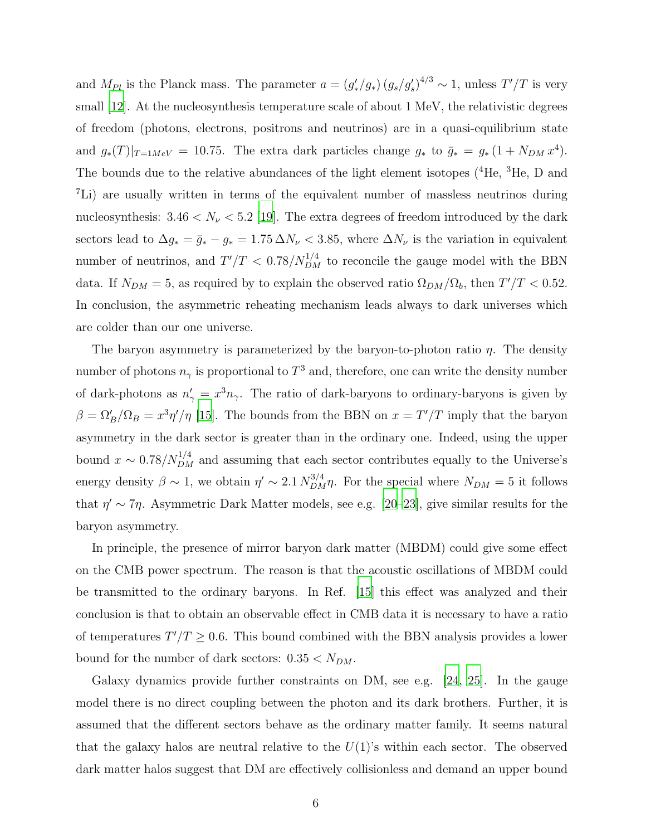and  $M_{Pl}$  is the Planck mass. The parameter  $a = (g'_*/g_*) (g_s/g'_s)^{4/3} \sim 1$ , unless  $T'/T$  is very small [\[12\]](#page-11-2). At the nucleosynthesis temperature scale of about 1 MeV, the relativistic degrees of freedom (photons, electrons, positrons and neutrinos) are in a quasi-equilibrium state and  $g_*(T)|_{T=1MeV} = 10.75$ . The extra dark particles change  $g_*$  to  $\bar{g}_* = g_*(1 + N_{DM} x^4)$ . The bounds due to the relative abundances of the light element isotopes (<sup>4</sup>He, <sup>3</sup>He, D and <sup>7</sup>Li) are usually written in terms of the equivalent number of massless neutrinos during nucleosynthesis:  $3.46 < N_{\nu} < 5.2$  [\[19](#page-11-8)]. The extra degrees of freedom introduced by the dark sectors lead to  $\Delta g_* = \bar{g}_* - g_* = 1.75 \Delta N_{\nu} < 3.85$ , where  $\Delta N_{\nu}$  is the variation in equivalent number of neutrinos, and  $T'/T < 0.78/N_{DM}^{1/4}$  to reconcile the gauge model with the BBN data. If  $N_{DM} = 5$ , as required by to explain the observed ratio  $\Omega_{DM}/\Omega_b$ , then  $T'/T < 0.52$ . In conclusion, the asymmetric reheating mechanism leads always to dark universes which are colder than our one universe.

The baryon asymmetry is parameterized by the baryon-to-photon ratio  $\eta$ . The density number of photons  $n_{\gamma}$  is proportional to  $T^3$  and, therefore, one can write the density number of dark-photons as  $n'_{\gamma} = x^3 n_{\gamma}$ . The ratio of dark-baryons to ordinary-baryons is given by  $\beta = \Omega_B'/\Omega_B = x^3 \eta'/\eta$  [\[15\]](#page-11-9). The bounds from the BBN on  $x = T'/T$  imply that the baryon asymmetry in the dark sector is greater than in the ordinary one. Indeed, using the upper bound  $x \sim 0.78/N_{DM}^{1/4}$  and assuming that each sector contributes equally to the Universe's energy density  $\beta \sim 1$ , we obtain  $\eta' \sim 2.1 N_{DM}^{3/4} \eta$ . For the special where  $N_{DM} = 5$  it follows that  $\eta' \sim 7\eta$ . Asymmetric Dark Matter models, see e.g. [\[20](#page-11-10)[–23](#page-11-11)], give similar results for the baryon asymmetry.

In principle, the presence of mirror baryon dark matter (MBDM) could give some effect on the CMB power spectrum. The reason is that the acoustic oscillations of MBDM could be transmitted to the ordinary baryons. In Ref. [\[15](#page-11-9)] this effect was analyzed and their conclusion is that to obtain an observable effect in CMB data it is necessary to have a ratio of temperatures  $T'/T \geq 0.6$ . This bound combined with the BBN analysis provides a lower bound for the number of dark sectors:  $0.35 < N_{DM}$ .

Galaxy dynamics provide further constraints on DM, see e.g. [\[24](#page-11-12), [25](#page-11-13)]. In the gauge model there is no direct coupling between the photon and its dark brothers. Further, it is assumed that the different sectors behave as the ordinary matter family. It seems natural that the galaxy halos are neutral relative to the  $U(1)$ 's within each sector. The observed dark matter halos suggest that DM are effectively collisionless and demand an upper bound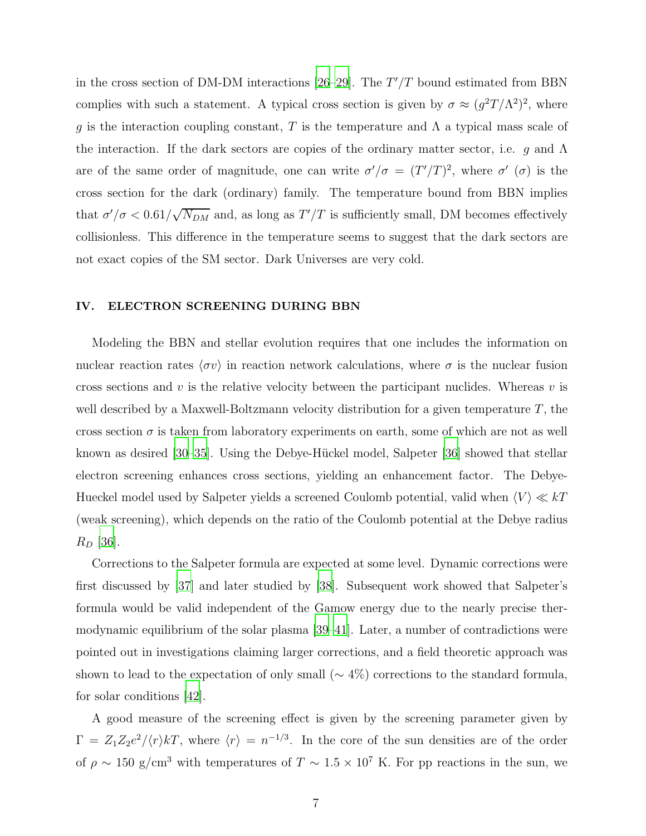in the cross section of DM-DM interactions [\[26](#page-11-14)[–29](#page-11-15)]. The  $T'/T$  bound estimated from BBN complies with such a statement. A typical cross section is given by  $\sigma \approx (g^2 T/\Lambda^2)^2$ , where g is the interaction coupling constant, T is the temperature and  $\Lambda$  a typical mass scale of the interaction. If the dark sectors are copies of the ordinary matter sector, i.e. g and  $\Lambda$ are of the same order of magnitude, one can write  $\sigma'/\sigma = (T'/T)^2$ , where  $\sigma'(\sigma)$  is the cross section for the dark (ordinary) family. The temperature bound from BBN implies that  $\sigma'/\sigma < 0.61/\sqrt{N_{DM}}$  and, as long as  $T'/T$  is sufficiently small, DM becomes effectively collisionless. This difference in the temperature seems to suggest that the dark sectors are not exact copies of the SM sector. Dark Universes are very cold.

#### IV. ELECTRON SCREENING DURING BBN

Modeling the BBN and stellar evolution requires that one includes the information on nuclear reaction rates  $\langle \sigma v \rangle$  in reaction network calculations, where  $\sigma$  is the nuclear fusion cross sections and v is the relative velocity between the participant nuclides. Whereas v is well described by a Maxwell-Boltzmann velocity distribution for a given temperature  $T$ , the cross section  $\sigma$  is taken from laboratory experiments on earth, some of which are not as well known as desired [\[30](#page-11-16)[–35\]](#page-12-0). Using the Debye-Hückel model, Salpeter [\[36\]](#page-12-1) showed that stellar electron screening enhances cross sections, yielding an enhancement factor. The Debye-Hueckel model used by Salpeter yields a screened Coulomb potential, valid when  $\langle V \rangle \ll kT$ (weak screening), which depends on the ratio of the Coulomb potential at the Debye radius  $R_D$  [\[36\]](#page-12-1).

Corrections to the Salpeter formula are expected at some level. Dynamic corrections were first discussed by [\[37\]](#page-12-2) and later studied by [\[38\]](#page-12-3). Subsequent work showed that Salpeter's formula would be valid independent of the Gamow energy due to the nearly precise thermodynamic equilibrium of the solar plasma [\[39](#page-12-4)[–41](#page-12-5)]. Later, a number of contradictions were pointed out in investigations claiming larger corrections, and a field theoretic approach was shown to lead to the expectation of only small ( $\sim$  4%) corrections to the standard formula, for solar conditions [\[42\]](#page-12-6).

A good measure of the screening effect is given by the screening parameter given by  $\Gamma = Z_1 Z_2 e^2 / \langle r \rangle kT$ , where  $\langle r \rangle = n^{-1/3}$ . In the core of the sun densities are of the order of  $\rho \sim 150$  g/cm<sup>3</sup> with temperatures of  $T \sim 1.5 \times 10^7$  K. For pp reactions in the sun, we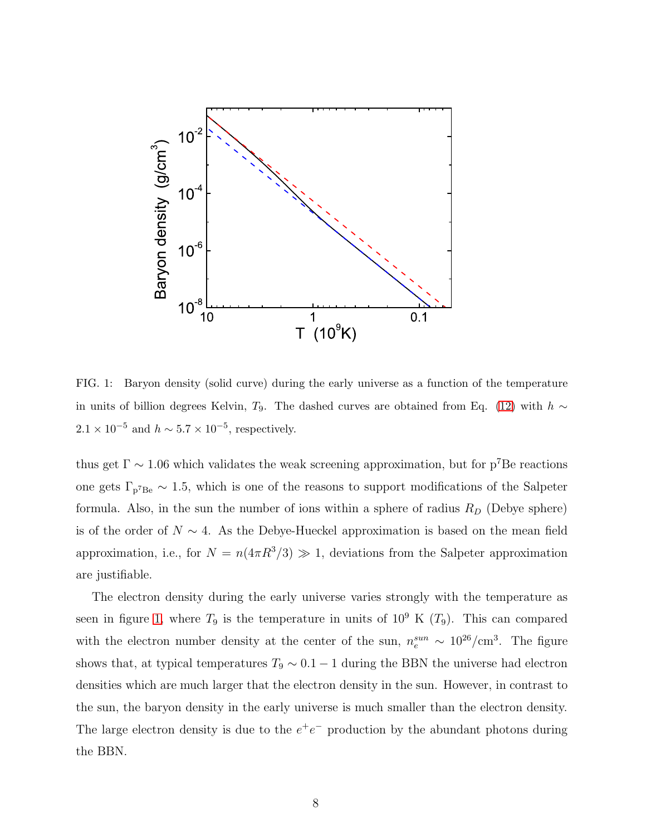

<span id="page-7-0"></span>FIG. 1: Baryon density (solid curve) during the early universe as a function of the temperature in units of billion degrees Kelvin, T<sub>9</sub>. The dashed curves are obtained from Eq. [\(12\)](#page-8-0) with  $h \sim$  $2.1 \times 10^{-5}$  and  $h \sim 5.7 \times 10^{-5}$ , respectively.

thus get  $\Gamma \sim 1.06$  which validates the weak screening approximation, but for p<sup>7</sup>Be reactions one gets  $\Gamma_{p^7Be} \sim 1.5$ , which is one of the reasons to support modifications of the Salpeter formula. Also, in the sun the number of ions within a sphere of radius  $R_D$  (Debye sphere) is of the order of  $N \sim 4$ . As the Debye-Hueckel approximation is based on the mean field approximation, i.e., for  $N = n(4\pi R^3/3) \gg 1$ , deviations from the Salpeter approximation are justifiable.

The electron density during the early universe varies strongly with the temperature as seen in figure [1,](#page-7-0) where  $T_9$  is the temperature in units of  $10^9$  K  $(T_9)$ . This can compared with the electron number density at the center of the sun,  $n_e^{sun} \sim 10^{26}/\text{cm}^3$ . The figure shows that, at typical temperatures  $T_9 \sim 0.1 - 1$  during the BBN the universe had electron densities which are much larger that the electron density in the sun. However, in contrast to the sun, the baryon density in the early universe is much smaller than the electron density. The large electron density is due to the  $e^+e^-$  production by the abundant photons during the BBN.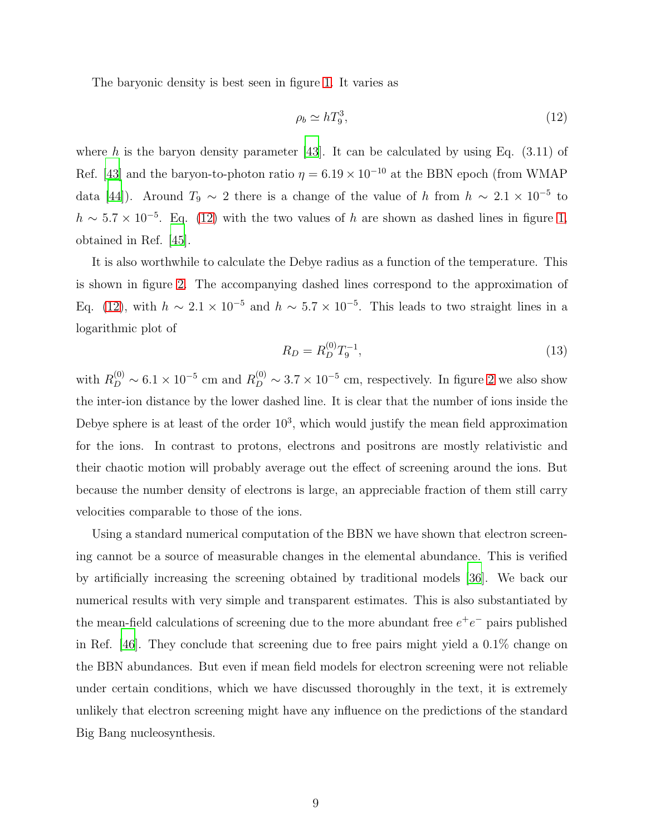The baryonic density is best seen in figure [1.](#page-7-0) It varies as

<span id="page-8-0"></span>
$$
\rho_b \simeq hT_9^3,\tag{12}
$$

where h is the baryon density parameter [\[43](#page-12-7)]. It can be calculated by using Eq.  $(3.11)$  of Ref. [\[43\]](#page-12-7) and the baryon-to-photon ratio  $\eta = 6.19 \times 10^{-10}$  at the BBN epoch (from WMAP) data [\[44\]](#page-12-8)). Around  $T_9 \sim 2$  there is a change of the value of h from  $h \sim 2.1 \times 10^{-5}$  to  $h \sim 5.7 \times 10^{-5}$ . Eq. [\(12\)](#page-8-0) with the two values of h are shown as dashed lines in figure [1,](#page-7-0) obtained in Ref. [\[45\]](#page-12-9).

It is also worthwhile to calculate the Debye radius as a function of the temperature. This is shown in figure [2.](#page-9-0) The accompanying dashed lines correspond to the approximation of Eq. [\(12\)](#page-8-0), with  $h \sim 2.1 \times 10^{-5}$  and  $h \sim 5.7 \times 10^{-5}$ . This leads to two straight lines in a logarithmic plot of

<span id="page-8-1"></span>
$$
R_D = R_D^{(0)} T_9^{-1},\tag{13}
$$

with  $R_D^{(0)} \sim 6.1 \times 10^{-5}$  cm and  $R_D^{(0)} \sim 3.7 \times 10^{-5}$  cm, respectively. In figure [2](#page-9-0) we also show the inter-ion distance by the lower dashed line. It is clear that the number of ions inside the Debye sphere is at least of the order  $10<sup>3</sup>$ , which would justify the mean field approximation for the ions. In contrast to protons, electrons and positrons are mostly relativistic and their chaotic motion will probably average out the effect of screening around the ions. But because the number density of electrons is large, an appreciable fraction of them still carry velocities comparable to those of the ions.

Using a standard numerical computation of the BBN we have shown that electron screening cannot be a source of measurable changes in the elemental abundance. This is verified by artificially increasing the screening obtained by traditional models [\[36](#page-12-1)]. We back our numerical results with very simple and transparent estimates. This is also substantiated by the mean-field calculations of screening due to the more abundant free  $e^+e^-$  pairs published in Ref. [\[46\]](#page-12-10). They conclude that screening due to free pairs might yield a 0.1% change on the BBN abundances. But even if mean field models for electron screening were not reliable under certain conditions, which we have discussed thoroughly in the text, it is extremely unlikely that electron screening might have any influence on the predictions of the standard Big Bang nucleosynthesis.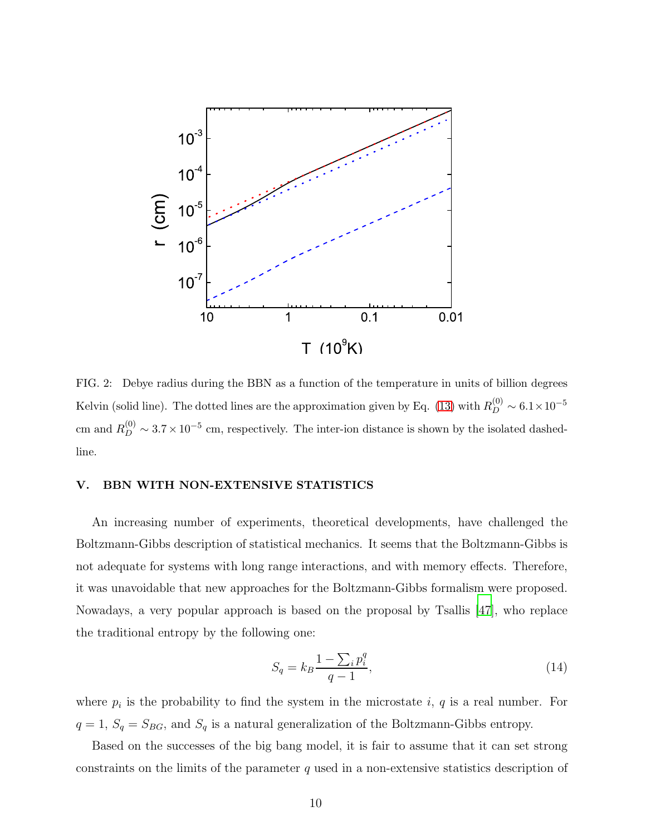

<span id="page-9-0"></span>FIG. 2: Debye radius during the BBN as a function of the temperature in units of billion degrees Kelvin (solid line). The dotted lines are the approximation given by Eq. [\(13\)](#page-8-1) with  $R_D^{(0)} \sim 6.1 \times 10^{-5}$ cm and  $R_D^{(0)} \sim 3.7 \times 10^{-5}$  cm, respectively. The inter-ion distance is shown by the isolated dashedline.

#### V. BBN WITH NON-EXTENSIVE STATISTICS

An increasing number of experiments, theoretical developments, have challenged the Boltzmann-Gibbs description of statistical mechanics. It seems that the Boltzmann-Gibbs is not adequate for systems with long range interactions, and with memory effects. Therefore, it was unavoidable that new approaches for the Boltzmann-Gibbs formalism were proposed. Nowadays, a very popular approach is based on the proposal by Tsallis [\[47\]](#page-12-11), who replace the traditional entropy by the following one:

$$
S_q = k_B \frac{1 - \sum_i p_i^q}{q - 1},\tag{14}
$$

where  $p_i$  is the probability to find the system in the microstate i, q is a real number. For  $q = 1$ ,  $S_q = S_{BG}$ , and  $S_q$  is a natural generalization of the Boltzmann-Gibbs entropy.

Based on the successes of the big bang model, it is fair to assume that it can set strong constraints on the limits of the parameter q used in a non-extensive statistics description of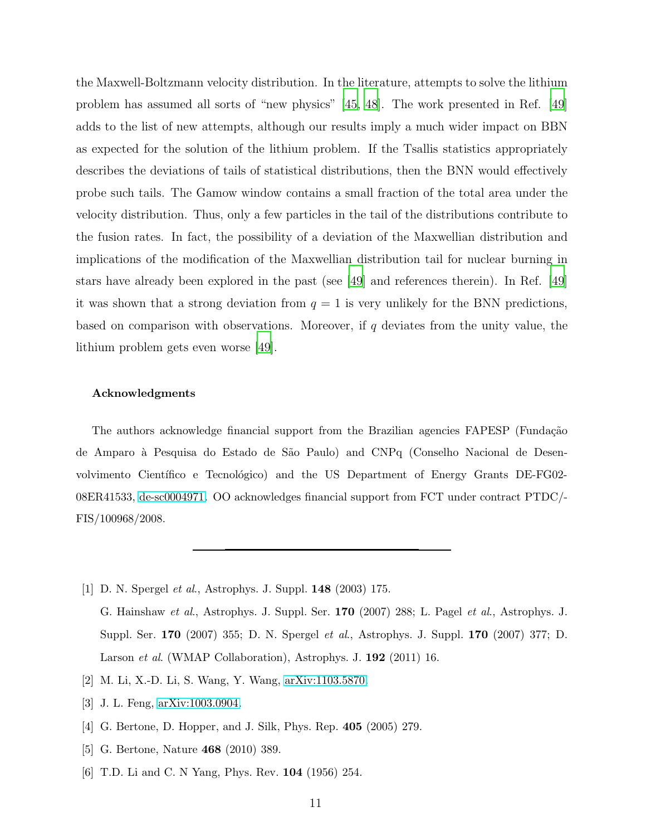the Maxwell-Boltzmann velocity distribution. In the literature, attempts to solve the lithium problem has assumed all sorts of "new physics" [\[45,](#page-12-9) [48](#page-12-12)]. The work presented in Ref. [\[49\]](#page-12-13) adds to the list of new attempts, although our results imply a much wider impact on BBN as expected for the solution of the lithium problem. If the Tsallis statistics appropriately describes the deviations of tails of statistical distributions, then the BNN would effectively probe such tails. The Gamow window contains a small fraction of the total area under the velocity distribution. Thus, only a few particles in the tail of the distributions contribute to the fusion rates. In fact, the possibility of a deviation of the Maxwellian distribution and implications of the modification of the Maxwellian distribution tail for nuclear burning in stars have already been explored in the past (see [\[49\]](#page-12-13) and references therein). In Ref. [\[49\]](#page-12-13) it was shown that a strong deviation from  $q = 1$  is very unlikely for the BNN predictions, based on comparison with observations. Moreover, if  $q$  deviates from the unity value, the lithium problem gets even worse [\[49\]](#page-12-13).

### Acknowledgments

The authors acknowledge financial support from the Brazilian agencies FAPESP (Fundação de Amparo `a Pesquisa do Estado de S˜ao Paulo) and CNPq (Conselho Nacional de Desenvolvimento Científico e Tecnológico) and the US Department of Energy Grants DE-FG02-08ER41533, [de-sc0004971.](http://arxiv.org/abs/de-sc/0004971) OO acknowledges financial support from FCT under contract PTDC/- FIS/100968/2008.

- <span id="page-10-0"></span>[1] D. N. Spergel et al., Astrophys. J. Suppl. 148 (2003) 175. G. Hainshaw et al., Astrophys. J. Suppl. Ser. 170 (2007) 288; L. Pagel et al., Astrophys. J. Suppl. Ser. 170 (2007) 355; D. N. Spergel et al., Astrophys. J. Suppl. 170 (2007) 377; D. Larson et al. (WMAP Collaboration), Astrophys. J. 192 (2011) 16.
- <span id="page-10-1"></span>[2] M. Li, X.-D. Li, S. Wang, Y. Wang, [arXiv:1103.5870.](http://arxiv.org/abs/1103.5870)
- <span id="page-10-2"></span>[3] J. L. Feng, [arXiv:1003.0904.](http://arxiv.org/abs/1003.0904)
- [4] G. Bertone, D. Hopper, and J. Silk, Phys. Rep. 405 (2005) 279.
- <span id="page-10-3"></span>[5] G. Bertone, Nature 468 (2010) 389.
- <span id="page-10-4"></span>[6] T.D. Li and C. N Yang, Phys. Rev. 104 (1956) 254.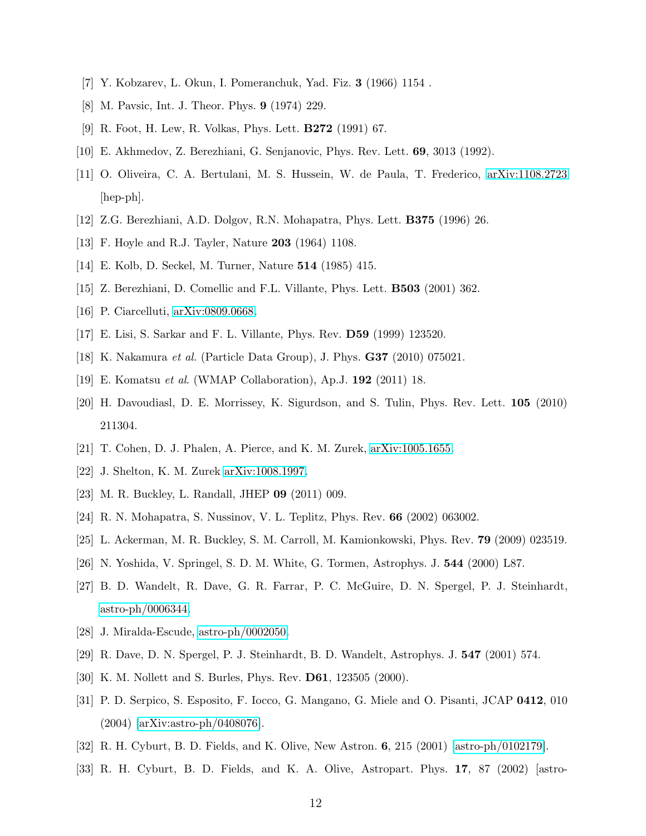- [7] Y. Kobzarev, L. Okun, I. Pomeranchuk, Yad. Fiz. 3 (1966) 1154 .
- [8] M. Pavsic, Int. J. Theor. Phys. 9 (1974) 229.
- [9] R. Foot, H. Lew, R. Volkas, Phys. Lett. B272 (1991) 67.
- <span id="page-11-1"></span><span id="page-11-0"></span>[10] E. Akhmedov, Z. Berezhiani, G. Senjanovic, Phys. Rev. Lett. 69, 3013 (1992).
- [11] O. Oliveira, C. A. Bertulani, M. S. Hussein, W. de Paula, T. Frederico, [arXiv:1108.2723](http://arxiv.org/abs/1108.2723) [hep-ph].
- <span id="page-11-3"></span><span id="page-11-2"></span>[12] Z.G. Berezhiani, A.D. Dolgov, R.N. Mohapatra, Phys. Lett. B375 (1996) 26.
- <span id="page-11-4"></span>[13] F. Hoyle and R.J. Tayler, Nature 203 (1964) 1108.
- <span id="page-11-9"></span>[14] E. Kolb, D. Seckel, M. Turner, Nature 514 (1985) 415.
- <span id="page-11-5"></span>[15] Z. Berezhiani, D. Comellic and F.L. Villante, Phys. Lett. B503 (2001) 362.
- <span id="page-11-6"></span>[16] P. Ciarcelluti, [arXiv:0809.0668.](http://arxiv.org/abs/0809.0668)
- <span id="page-11-7"></span>[17] E. Lisi, S. Sarkar and F. L. Villante, Phys. Rev. D59 (1999) 123520.
- <span id="page-11-8"></span>[18] K. Nakamura et al. (Particle Data Group), J. Phys. G37 (2010) 075021.
- <span id="page-11-10"></span>[19] E. Komatsu et al. (WMAP Collaboration), Ap.J. 192 (2011) 18.
- [20] H. Davoudiasl, D. E. Morrissey, K. Sigurdson, and S. Tulin, Phys. Rev. Lett. 105 (2010) 211304.
- [21] T. Cohen, D. J. Phalen, A. Pierce, and K. M. Zurek, [arXiv:1005.1655.](http://arxiv.org/abs/1005.1655)
- [22] J. Shelton, K. M. Zurek [arXiv:1008.1997.](http://arxiv.org/abs/1008.1997)
- <span id="page-11-11"></span>[23] M. R. Buckley, L. Randall, JHEP 09 (2011) 009.
- <span id="page-11-13"></span><span id="page-11-12"></span>[24] R. N. Mohapatra, S. Nussinov, V. L. Teplitz, Phys. Rev. 66 (2002) 063002.
- [25] L. Ackerman, M. R. Buckley, S. M. Carroll, M. Kamionkowski, Phys. Rev. 79 (2009) 023519.
- <span id="page-11-14"></span>[26] N. Yoshida, V. Springel, S. D. M. White, G. Tormen, Astrophys. J. 544 (2000) L87.
- [27] B. D. Wandelt, R. Dave, G. R. Farrar, P. C. McGuire, D. N. Spergel, P. J. Steinhardt, [astro-ph/0006344.](http://arxiv.org/abs/astro-ph/0006344)
- [28] J. Miralda-Escude, [astro-ph/0002050.](http://arxiv.org/abs/astro-ph/0002050)
- <span id="page-11-15"></span>[29] R. Dave, D. N. Spergel, P. J. Steinhardt, B. D. Wandelt, Astrophys. J. 547 (2001) 574.
- <span id="page-11-16"></span>[30] K. M. Nollett and S. Burles, Phys. Rev. D61, 123505 (2000).
- [31] P. D. Serpico, S. Esposito, F. Iocco, G. Mangano, G. Miele and O. Pisanti, JCAP 0412, 010 (2004) [\[arXiv:astro-ph/0408076\]](http://arxiv.org/abs/astro-ph/0408076).
- [32] R. H. Cyburt, B. D. Fields, and K. Olive, New Astron. 6, 215 (2001) [\[astro-ph/0102179\]](http://arxiv.org/abs/astro-ph/0102179).
- [33] R. H. Cyburt, B. D. Fields, and K. A. Olive, Astropart. Phys. 17, 87 (2002) [astro-